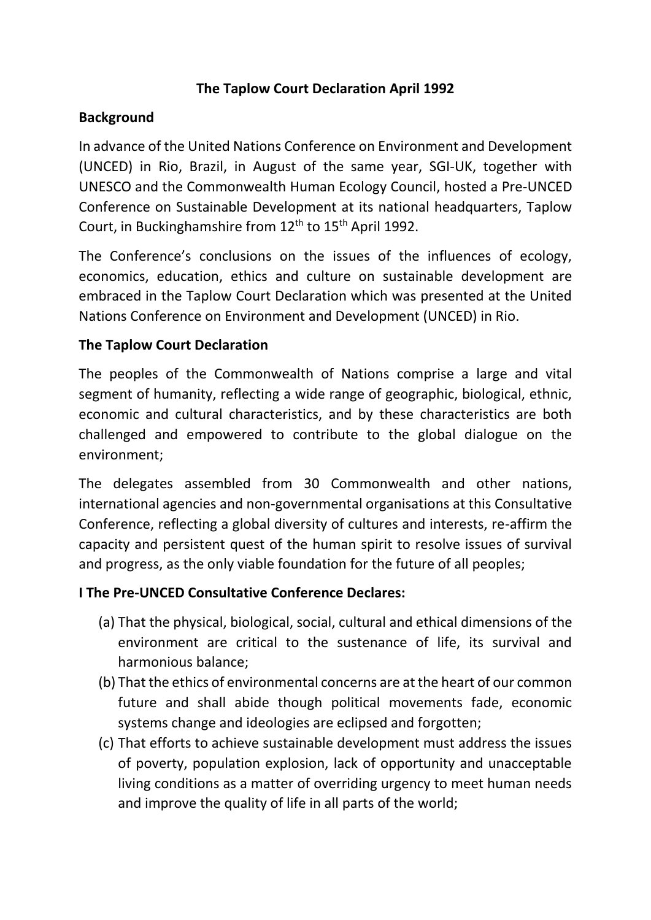## **The Taplow Court Declaration April 1992**

## **Background**

In advance of the United Nations Conference on Environment and Development (UNCED) in Rio, Brazil, in August of the same year, SGI-UK, together with UNESCO and the Commonwealth Human Ecology Council, hosted a Pre-UNCED Conference on Sustainable Development at its national headquarters, Taplow Court, in Buckinghamshire from 12<sup>th</sup> to 15<sup>th</sup> April 1992.

The Conference's conclusions on the issues of the influences of ecology, economics, education, ethics and culture on sustainable development are embraced in the Taplow Court Declaration which was presented at the United Nations Conference on Environment and Development (UNCED) in Rio.

## **The Taplow Court Declaration**

The peoples of the Commonwealth of Nations comprise a large and vital segment of humanity, reflecting a wide range of geographic, biological, ethnic, economic and cultural characteristics, and by these characteristics are both challenged and empowered to contribute to the global dialogue on the environment;

The delegates assembled from 30 Commonwealth and other nations, international agencies and non-governmental organisations at this Consultative Conference, reflecting a global diversity of cultures and interests, re-affirm the capacity and persistent quest of the human spirit to resolve issues of survival and progress, as the only viable foundation for the future of all peoples;

### **I The Pre-UNCED Consultative Conference Declares:**

- (a) That the physical, biological, social, cultural and ethical dimensions of the environment are critical to the sustenance of life, its survival and harmonious balance;
- (b) That the ethics of environmental concerns are at the heart of our common future and shall abide though political movements fade, economic systems change and ideologies are eclipsed and forgotten;
- (c) That efforts to achieve sustainable development must address the issues of poverty, population explosion, lack of opportunity and unacceptable living conditions as a matter of overriding urgency to meet human needs and improve the quality of life in all parts of the world;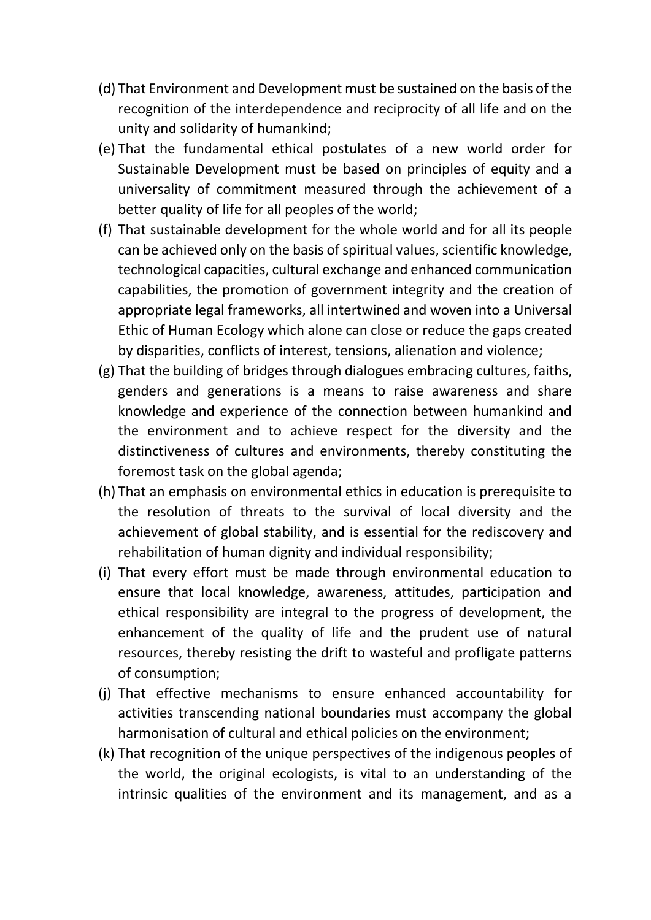- (d) That Environment and Development must be sustained on the basis of the recognition of the interdependence and reciprocity of all life and on the unity and solidarity of humankind;
- (e) That the fundamental ethical postulates of a new world order for Sustainable Development must be based on principles of equity and a universality of commitment measured through the achievement of a better quality of life for all peoples of the world;
- (f) That sustainable development for the whole world and for all its people can be achieved only on the basis of spiritual values, scientific knowledge, technological capacities, cultural exchange and enhanced communication capabilities, the promotion of government integrity and the creation of appropriate legal frameworks, all intertwined and woven into a Universal Ethic of Human Ecology which alone can close or reduce the gaps created by disparities, conflicts of interest, tensions, alienation and violence;
- (g) That the building of bridges through dialogues embracing cultures, faiths, genders and generations is a means to raise awareness and share knowledge and experience of the connection between humankind and the environment and to achieve respect for the diversity and the distinctiveness of cultures and environments, thereby constituting the foremost task on the global agenda;
- (h) That an emphasis on environmental ethics in education is prerequisite to the resolution of threats to the survival of local diversity and the achievement of global stability, and is essential for the rediscovery and rehabilitation of human dignity and individual responsibility;
- (i) That every effort must be made through environmental education to ensure that local knowledge, awareness, attitudes, participation and ethical responsibility are integral to the progress of development, the enhancement of the quality of life and the prudent use of natural resources, thereby resisting the drift to wasteful and profligate patterns of consumption;
- (j) That effective mechanisms to ensure enhanced accountability for activities transcending national boundaries must accompany the global harmonisation of cultural and ethical policies on the environment;
- (k) That recognition of the unique perspectives of the indigenous peoples of the world, the original ecologists, is vital to an understanding of the intrinsic qualities of the environment and its management, and as a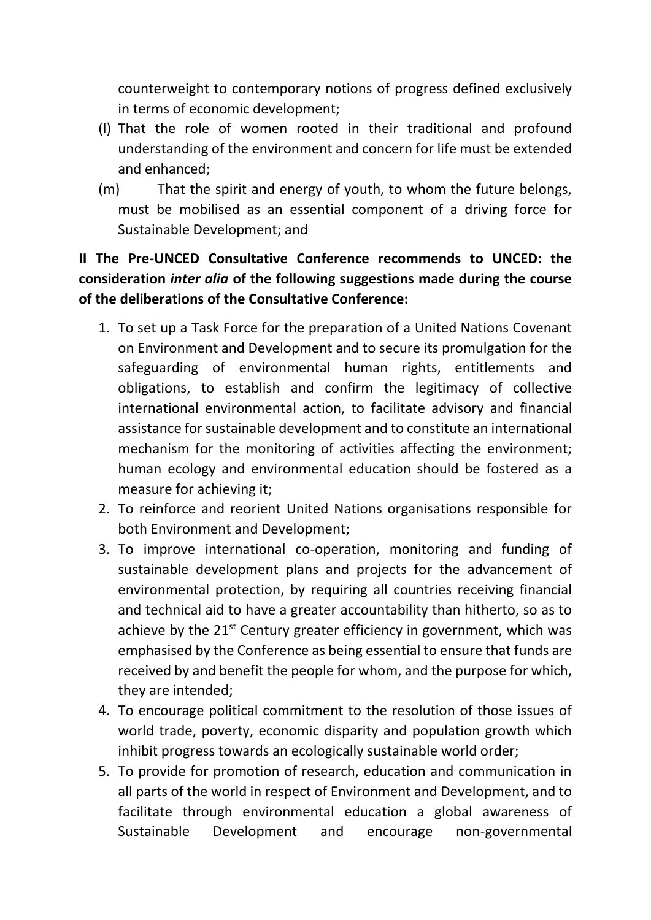counterweight to contemporary notions of progress defined exclusively in terms of economic development;

- (l) That the role of women rooted in their traditional and profound understanding of the environment and concern for life must be extended and enhanced;
- (m) That the spirit and energy of youth, to whom the future belongs, must be mobilised as an essential component of a driving force for Sustainable Development; and

# **II The Pre-UNCED Consultative Conference recommends to UNCED: the consideration** *inter alia* **of the following suggestions made during the course of the deliberations of the Consultative Conference:**

- 1. To set up a Task Force for the preparation of a United Nations Covenant on Environment and Development and to secure its promulgation for the safeguarding of environmental human rights, entitlements and obligations, to establish and confirm the legitimacy of collective international environmental action, to facilitate advisory and financial assistance for sustainable development and to constitute an international mechanism for the monitoring of activities affecting the environment; human ecology and environmental education should be fostered as a measure for achieving it;
- 2. To reinforce and reorient United Nations organisations responsible for both Environment and Development;
- 3. To improve international co-operation, monitoring and funding of sustainable development plans and projects for the advancement of environmental protection, by requiring all countries receiving financial and technical aid to have a greater accountability than hitherto, so as to achieve by the  $21^{st}$  Century greater efficiency in government, which was emphasised by the Conference as being essential to ensure that funds are received by and benefit the people for whom, and the purpose for which, they are intended;
- 4. To encourage political commitment to the resolution of those issues of world trade, poverty, economic disparity and population growth which inhibit progress towards an ecologically sustainable world order;
- 5. To provide for promotion of research, education and communication in all parts of the world in respect of Environment and Development, and to facilitate through environmental education a global awareness of Sustainable Development and encourage non-governmental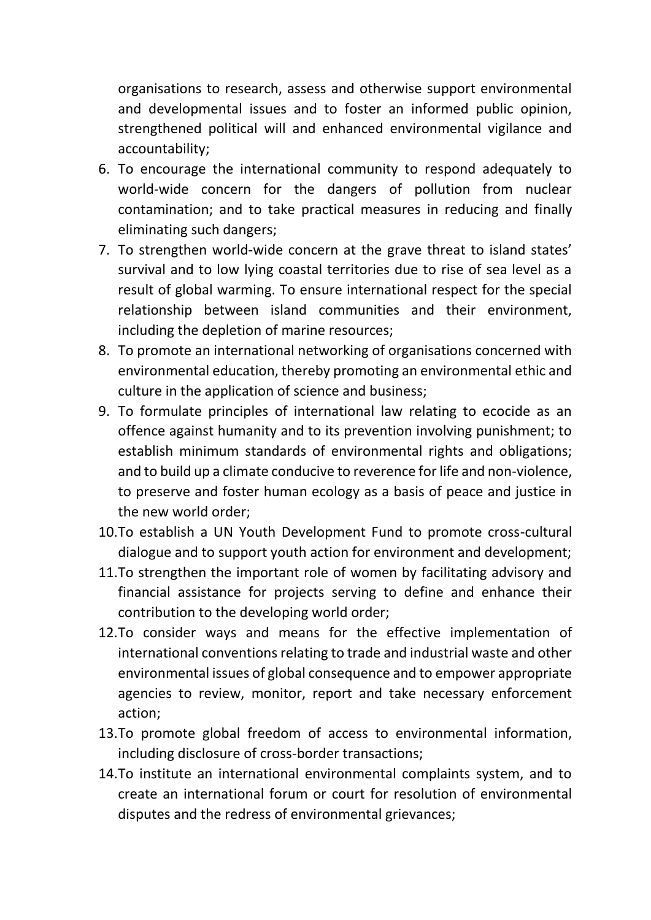organisations to research, assess and otherwise support environmental and developmental issues and to foster an informed public opinion, strengthened political will and enhanced environmental vigilance and accountability;

- 6. To encourage the international community to respond adequately to world-wide concern for the dangers of pollution from nuclear contamination; and to take practical measures in reducing and finally eliminating such dangers;
- 7. To strengthen world-wide concern at the grave threat to island states' survival and to low lying coastal territories due to rise of sea level as a result of global warming. To ensure international respect for the special relationship between island communities and their environment, including the depletion of marine resources;
- 8. To promote an international networking of organisations concerned with environmental education, thereby promoting an environmental ethic and culture in the application of science and business;
- 9. To formulate principles of international law relating to ecocide as an offence against humanity and to its prevention involving punishment; to establish minimum standards of environmental rights and obligations; and to build up a climate conducive to reverence for life and non-violence, to preserve and foster human ecology as a basis of peace and justice in the new world order;
- 10.To establish a UN Youth Development Fund to promote cross-cultural dialogue and to support youth action for environment and development;
- 11.To strengthen the important role of women by facilitating advisory and financial assistance for projects serving to define and enhance their contribution to the developing world order;
- 12.To consider ways and means for the effective implementation of international conventions relating to trade and industrial waste and other environmental issues of global consequence and to empower appropriate agencies to review, monitor, report and take necessary enforcement action;
- 13.To promote global freedom of access to environmental information, including disclosure of cross-border transactions;
- 14.To institute an international environmental complaints system, and to create an international forum or court for resolution of environmental disputes and the redress of environmental grievances;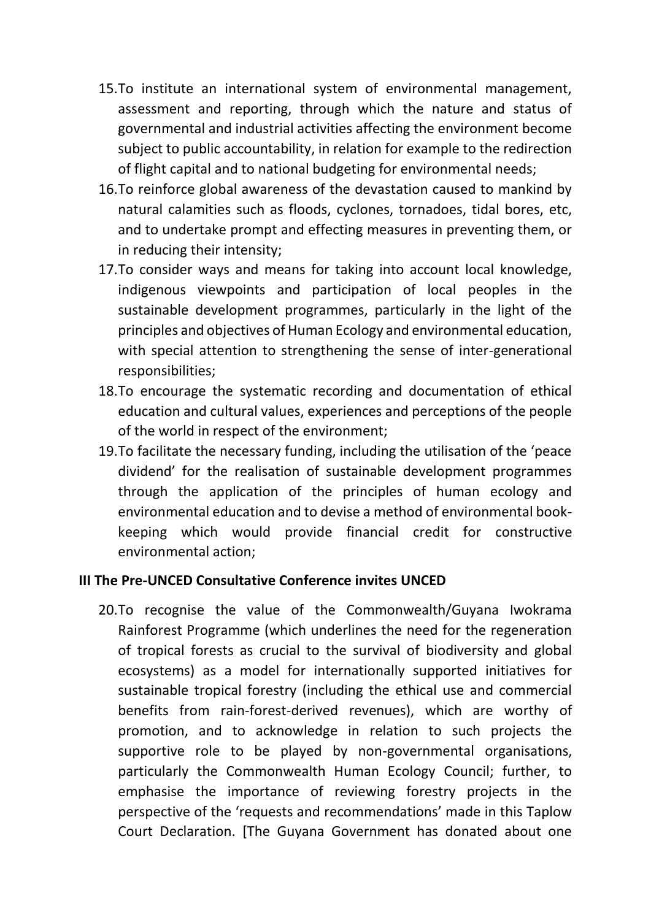- 15.To institute an international system of environmental management, assessment and reporting, through which the nature and status of governmental and industrial activities affecting the environment become subject to public accountability, in relation for example to the redirection of flight capital and to national budgeting for environmental needs;
- 16.To reinforce global awareness of the devastation caused to mankind by natural calamities such as floods, cyclones, tornadoes, tidal bores, etc, and to undertake prompt and effecting measures in preventing them, or in reducing their intensity;
- 17.To consider ways and means for taking into account local knowledge, indigenous viewpoints and participation of local peoples in the sustainable development programmes, particularly in the light of the principles and objectives of Human Ecology and environmental education, with special attention to strengthening the sense of inter-generational responsibilities;
- 18.To encourage the systematic recording and documentation of ethical education and cultural values, experiences and perceptions of the people of the world in respect of the environment;
- 19.To facilitate the necessary funding, including the utilisation of the 'peace dividend' for the realisation of sustainable development programmes through the application of the principles of human ecology and environmental education and to devise a method of environmental bookkeeping which would provide financial credit for constructive environmental action;

#### **III The Pre-UNCED Consultative Conference invites UNCED**

20.To recognise the value of the Commonwealth/Guyana Iwokrama Rainforest Programme (which underlines the need for the regeneration of tropical forests as crucial to the survival of biodiversity and global ecosystems) as a model for internationally supported initiatives for sustainable tropical forestry (including the ethical use and commercial benefits from rain-forest-derived revenues), which are worthy of promotion, and to acknowledge in relation to such projects the supportive role to be played by non-governmental organisations, particularly the Commonwealth Human Ecology Council; further, to emphasise the importance of reviewing forestry projects in the perspective of the 'requests and recommendations' made in this Taplow Court Declaration. [The Guyana Government has donated about one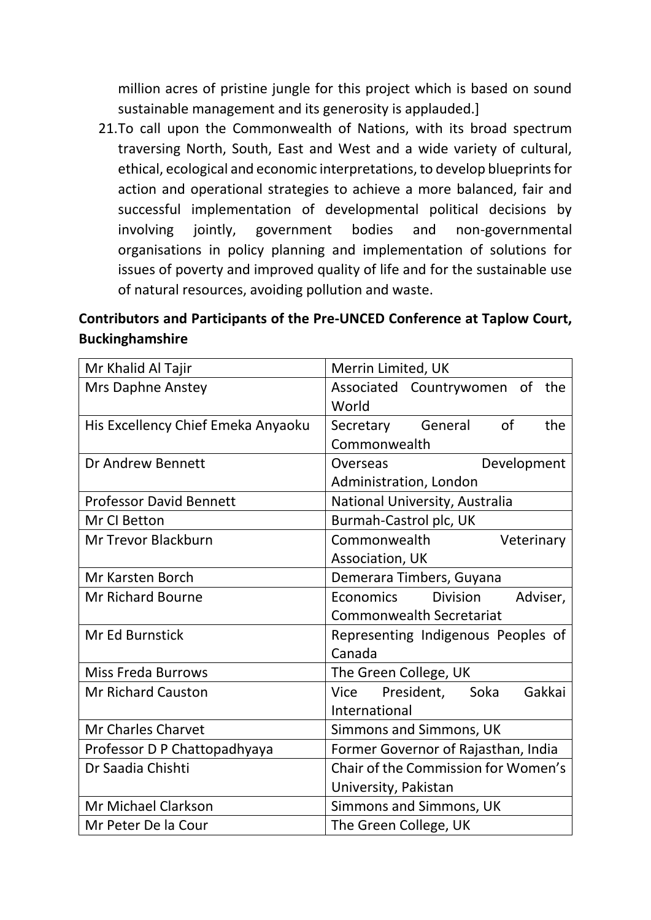million acres of pristine jungle for this project which is based on sound sustainable management and its generosity is applauded.]

21.To call upon the Commonwealth of Nations, with its broad spectrum traversing North, South, East and West and a wide variety of cultural, ethical, ecological and economic interpretations, to develop blueprints for action and operational strategies to achieve a more balanced, fair and successful implementation of developmental political decisions by involving jointly, government bodies and non-governmental organisations in policy planning and implementation of solutions for issues of poverty and improved quality of life and for the sustainable use of natural resources, avoiding pollution and waste.

**Contributors and Participants of the Pre-UNCED Conference at Taplow Court, Buckinghamshire**

| Mr Khalid Al Tajir                 | Merrin Limited, UK                       |
|------------------------------------|------------------------------------------|
| <b>Mrs Daphne Anstey</b>           | Associated Countrywomen of the           |
|                                    | World                                    |
| His Excellency Chief Emeka Anyaoku | of<br>the<br>Secretary General           |
|                                    | Commonwealth                             |
| Dr Andrew Bennett                  | Development<br>Overseas                  |
|                                    | Administration, London                   |
| <b>Professor David Bennett</b>     | National University, Australia           |
| Mr CI Betton                       | Burmah-Castrol plc, UK                   |
| <b>Mr Trevor Blackburn</b>         | Commonwealth<br>Veterinary               |
|                                    | Association, UK                          |
| <b>Mr Karsten Borch</b>            | Demerara Timbers, Guyana                 |
| <b>Mr Richard Bourne</b>           | Division<br>Adviser,<br><b>Economics</b> |
|                                    | <b>Commonwealth Secretariat</b>          |
| <b>Mr Ed Burnstick</b>             | Representing Indigenous Peoples of       |
|                                    | Canada                                   |
| <b>Miss Freda Burrows</b>          | The Green College, UK                    |
| <b>Mr Richard Causton</b>          | President, Soka<br>Gakkai<br>Vice        |
|                                    | International                            |
| <b>Mr Charles Charvet</b>          | Simmons and Simmons, UK                  |
| Professor D P Chattopadhyaya       | Former Governor of Rajasthan, India      |
| Dr Saadia Chishti                  | Chair of the Commission for Women's      |
|                                    | University, Pakistan                     |
| <b>Mr Michael Clarkson</b>         | Simmons and Simmons, UK                  |
| Mr Peter De la Cour                | The Green College, UK                    |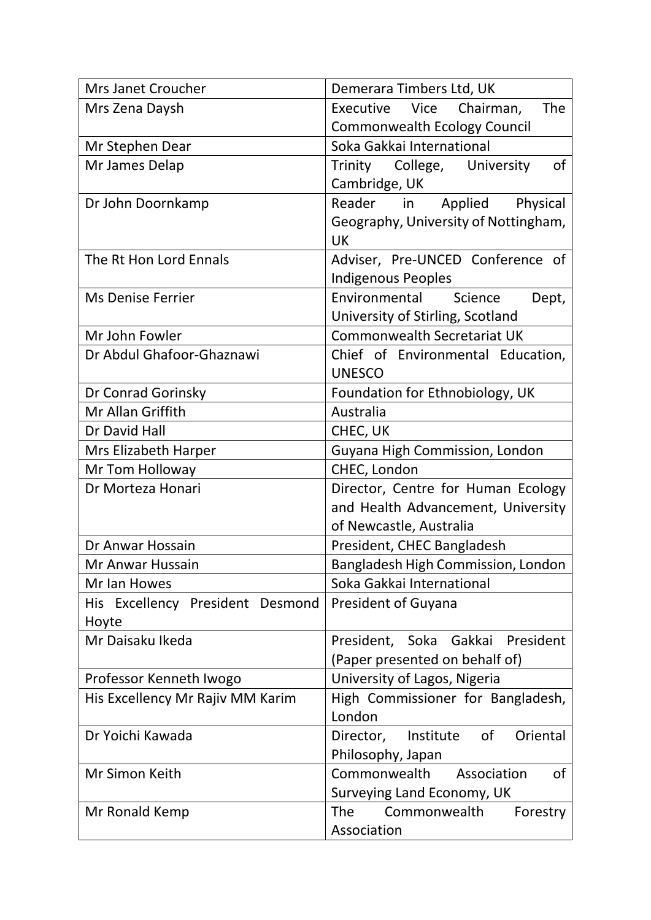| Mrs Janet Croucher               | Demerara Timbers Ltd, UK                  |
|----------------------------------|-------------------------------------------|
| Mrs Zena Daysh                   | Executive Vice<br><b>The</b><br>Chairman, |
|                                  | <b>Commonwealth Ecology Council</b>       |
| Mr Stephen Dear                  | Soka Gakkai International                 |
| Mr James Delap                   | of<br>Trinity College, University         |
|                                  | Cambridge, UK                             |
| Dr John Doornkamp                | Reader in<br>Applied<br>Physical          |
|                                  | Geography, University of Nottingham,      |
|                                  | <b>UK</b>                                 |
| The Rt Hon Lord Ennals           | Adviser, Pre-UNCED Conference of          |
|                                  | <b>Indigenous Peoples</b>                 |
| <b>Ms Denise Ferrier</b>         | Environmental<br>Science<br>Dept,         |
|                                  | University of Stirling, Scotland          |
| Mr John Fowler                   | <b>Commonwealth Secretariat UK</b>        |
| Dr Abdul Ghafoor-Ghaznawi        | Chief of Environmental Education,         |
|                                  | <b>UNESCO</b>                             |
| Dr Conrad Gorinsky               | Foundation for Ethnobiology, UK           |
| Mr Allan Griffith                | Australia                                 |
| Dr David Hall                    | CHEC, UK                                  |
| Mrs Elizabeth Harper             | Guyana High Commission, London            |
| Mr Tom Holloway                  | CHEC, London                              |
| Dr Morteza Honari                | Director, Centre for Human Ecology        |
|                                  | and Health Advancement, University        |
|                                  | of Newcastle, Australia                   |
| Dr Anwar Hossain                 | President, CHEC Bangladesh                |
| Mr Anwar Hussain                 | Bangladesh High Commission, London        |
| Mr Ian Howes                     | Soka Gakkai International                 |
| His Excellency President Desmond | <b>President of Guyana</b>                |
| Hoyte                            |                                           |
| Mr Daisaku Ikeda                 | President, Soka Gakkai President          |
|                                  | (Paper presented on behalf of)            |
| Professor Kenneth Iwogo          | University of Lagos, Nigeria              |
| His Excellency Mr Rajiv MM Karim | High Commissioner for Bangladesh,         |
|                                  | London                                    |
| Dr Yoichi Kawada                 | Director, Institute of<br>Oriental        |
|                                  | Philosophy, Japan                         |
| Mr Simon Keith                   | Commonwealth Association<br>of            |
|                                  | Surveying Land Economy, UK                |
| Mr Ronald Kemp                   | <b>The</b><br>Commonwealth<br>Forestry    |
|                                  | Association                               |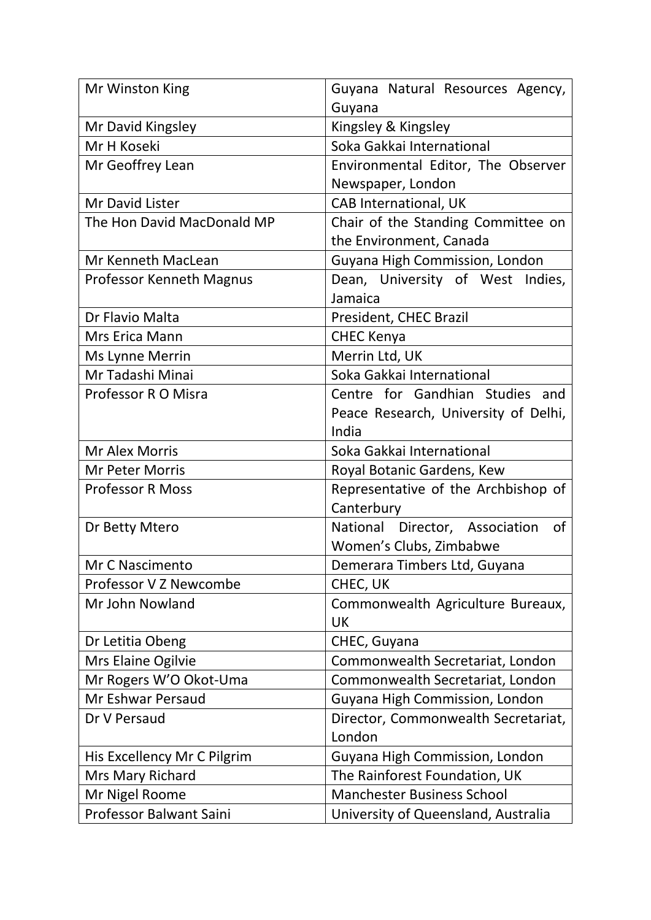| Mr Winston King             | Guyana Natural Resources Agency,     |
|-----------------------------|--------------------------------------|
|                             | Guyana                               |
| Mr David Kingsley           | Kingsley & Kingsley                  |
| Mr H Koseki                 | Soka Gakkai International            |
| Mr Geoffrey Lean            | Environmental Editor, The Observer   |
|                             | Newspaper, London                    |
| Mr David Lister             | CAB International, UK                |
| The Hon David MacDonald MP  | Chair of the Standing Committee on   |
|                             | the Environment, Canada              |
| Mr Kenneth MacLean          | Guyana High Commission, London       |
| Professor Kenneth Magnus    | Dean, University of West Indies,     |
|                             | Jamaica                              |
| Dr Flavio Malta             | President, CHEC Brazil               |
| Mrs Erica Mann              | <b>CHEC Kenya</b>                    |
| Ms Lynne Merrin             | Merrin Ltd, UK                       |
| Mr Tadashi Minai            | Soka Gakkai International            |
| Professor R O Misra         | Centre for Gandhian Studies and      |
|                             | Peace Research, University of Delhi, |
|                             | India                                |
| <b>Mr Alex Morris</b>       | Soka Gakkai International            |
| <b>Mr Peter Morris</b>      | Royal Botanic Gardens, Kew           |
| <b>Professor R Moss</b>     | Representative of the Archbishop of  |
|                             | Canterbury                           |
| Dr Betty Mtero              | National Director, Association<br>0f |
|                             | Women's Clubs, Zimbabwe              |
| Mr C Nascimento             | Demerara Timbers Ltd, Guyana         |
| Professor V Z Newcombe      | CHEC, UK                             |
| Mr John Nowland             | Commonwealth Agriculture Bureaux,    |
|                             | <b>UK</b>                            |
| Dr Letitia Obeng            | CHEC, Guyana                         |
| Mrs Elaine Ogilvie          | Commonwealth Secretariat, London     |
| Mr Rogers W'O Okot-Uma      | Commonwealth Secretariat, London     |
| Mr Eshwar Persaud           | Guyana High Commission, London       |
| Dr V Persaud                | Director, Commonwealth Secretariat,  |
|                             | London                               |
| His Excellency Mr C Pilgrim | Guyana High Commission, London       |
| Mrs Mary Richard            | The Rainforest Foundation, UK        |
| Mr Nigel Roome              | <b>Manchester Business School</b>    |
| Professor Balwant Saini     | University of Queensland, Australia  |